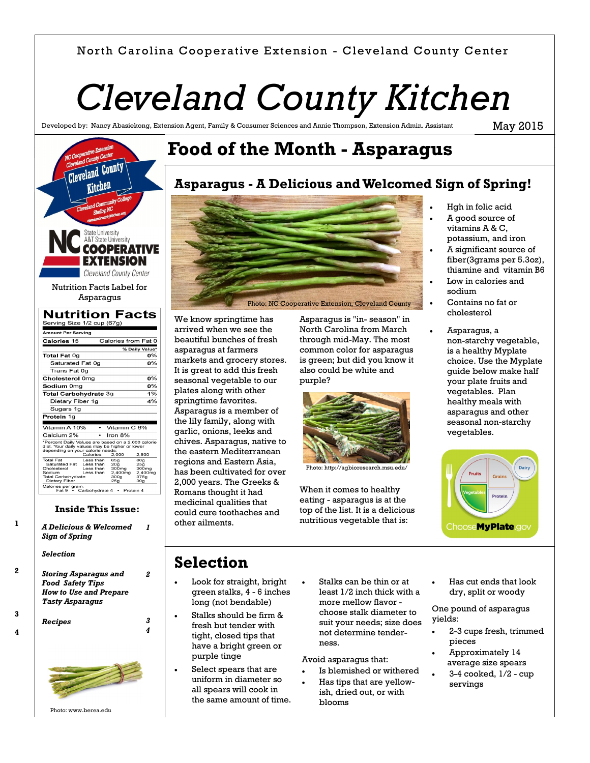### North Carolina Cooperative Extension - Cleveland County Center

# *Cleveland County Kitchen*

**Food of the Month - Asparagus**

Developed by: Nancy Abasiekong, Extension Agent, Family & Consumer Sciences and Annie Thompson, Extension Admin. Assistant

May 2015

#### Cleveland County Kitchen State University<br>A&T State University **OOPERATIVE EXTENSION** Cleveland County Center Nutrition Facts Label for Asparagus **Nutrition Facts** Serving Size 1/2 cup (67g) nount Per Serving Calories from Fat 0 Calories 15 % Daily Valu Total Fat 0g  $n%$ Saturated Fat 0q  $\overline{0\%}$ Trans Fat 0g Cholesterol 0mg  $\overline{\Omega\%}$ Sodium 0mg  $0%$ Total Carbohydrate 3g  $1%$ Dietary Fiber 1g  $4%$ Sugars 1g

| Vitamin A 10%<br>Vitamin C 6%<br>Iron 8%<br>Calcium 2%<br>*Percent Daily Values are based on a 2,000 calorie<br>diet. Your daily values may be higher or lower<br>depending on your calorie needs:<br>Calories:<br>2.000<br>2,500                                                                              |  |
|----------------------------------------------------------------------------------------------------------------------------------------------------------------------------------------------------------------------------------------------------------------------------------------------------------------|--|
|                                                                                                                                                                                                                                                                                                                |  |
|                                                                                                                                                                                                                                                                                                                |  |
|                                                                                                                                                                                                                                                                                                                |  |
| <b>Total Fat</b><br>Less than<br>80a<br>65a<br>Saturated Fat<br>Less than<br>20 <sub>a</sub><br>25 <sub>a</sub><br>300mg<br>300 <sub>mg</sub><br>Cholesterol<br>Less than<br>2.400mg<br>2.400mg<br>Sodium<br>Less than<br>375q<br><b>Total Carbohydrate</b><br>300 <sub>g</sub><br>Dietary Fiber<br>25a<br>30a |  |
| Calories per gram:<br>Fat 9 • Carbohydrate 4<br>Protein 4                                                                                                                                                                                                                                                      |  |

#### **Inside This Issue:**

**1**

**2**

**3**

**4**

| Sign of Spring                      | A Delicious & Welcomed |
|-------------------------------------|------------------------|
| Selection                           |                        |
| <i><b>Storing Asparagus and</b></i> |                        |
| <b>Food Safety Tips</b>             |                        |
| <b>How to Use and Prepare</b>       |                        |
| <b>Tasty Asparagus</b>              |                        |
| Recipes                             |                        |
|                                     |                        |

# **Asparagus - A Delicious and Welcomed Sign of Spring!**



We know springtime has arrived when we see the beautiful bunches of fresh asparagus at farmers markets and grocery stores. It is great to add this fresh seasonal vegetable to our plates along with other springtime favorites. Asparagus is a member of the lily family, along with garlic, onions, leeks and chives. Asparagus, native to the eastern Mediterranean regions and Eastern Asia, has been cultivated for over 2,000 years. The Greeks & Romans thought it had medicinal qualities that could cure toothaches and other ailments.

Asparagus is "in- season" in North Carolina from March through mid-May. The most common color for asparagus is green; but did you know it also could be white and purple?



Photo: http://agbioresearch.msu.edu/

When it comes to healthy eating - asparagus is at the top of the list. It is a delicious nutritious vegetable that is:

- Hgh in folic acid
- A good source of vitamins A & C, potassium, and iron
- A significant source of fiber(3grams per 5.3oz), thiamine and vitamin B6
- Low in calories and sodium
- Contains no fat or cholesterol
- Asparagus, a non-starchy vegetable, is a healthy Myplate choice. Use the Myplate guide below make half your plate fruits and vegetables. Plan healthy meals with asparagus and other seasonal non-starchy vegetables.



# **Selection**

- Look for straight, bright green stalks, 4 - 6 inches long (not bendable)
- Stalks should be firm & fresh but tender with tight, closed tips that have a bright green or purple tinge
- Select spears that are uniform in diameter so all spears will cook in the same amount of time.
- Stalks can be thin or at least 1/2 inch thick with a more mellow flavor choose stalk diameter to suit your needs; size does not determine tenderness.

Avoid asparagus that:

- Is blemished or withered
- Has tips that are yellowish, dried out, or with blooms

 Has cut ends that look dry, split or woody

One pound of asparagus yields:

- 2-3 cups fresh, trimmed pieces
- Approximately 14 average size spears
- 3-4 cooked, 1/2 cup servings

Photo: [www.berea.edu](https://www.google.com/url?sa=i&rct=j&q=&esrc=s&source=images&cd=&cad=rja&uact=8&ved=0CAYQjB0&url=http%3A%2F%2Fwww.berea.edu%2Fgrow-appalachia%2F2015%2F04%2F20%2Fasparagus-aprils-superfood%2F&ei=t8dxVcuOHYOigwSp7oHQBw&psig=AFQjCNHY46Q7UjWamn7sVcL6B-60_25Mow&u)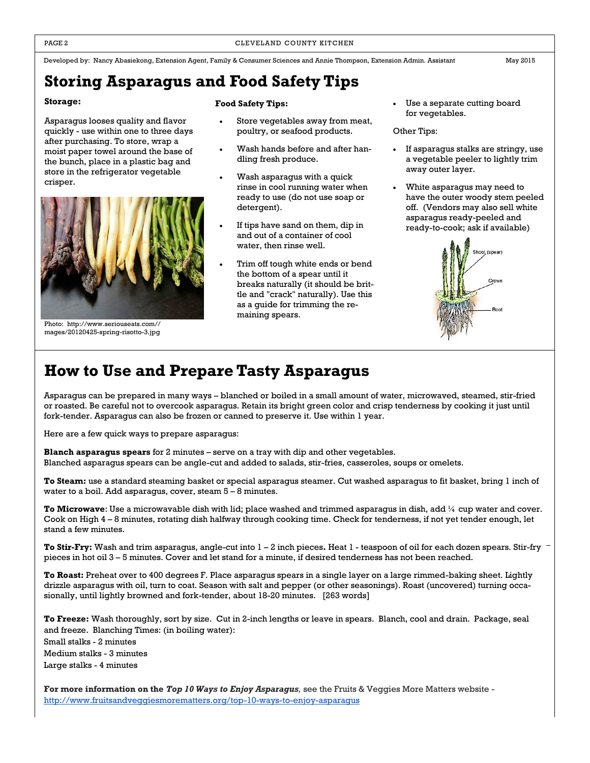Developed by: Nancy Abasiekong, Extension Agent, Family & Consumer Sciences and Annie Thompson, Extension Admin. Assistant May 2015

## **Storing Asparagus and Food Safety Tips**

#### **Storage:**

Asparagus looses quality and flavor quickly - use within one to three days after purchasing. To store, wrap a moist paper towel around the base of the bunch, place in a plastic bag and store in the refrigerator vegetable crisper.



Photo: http://www.seriouseats.com// mages/20120425-spring-risotto-3.jpg

#### **Food Safety Tips:**

- Store vegetables away from meat, poultry, or seafood products.
- Wash hands before and after handling fresh produce.
- Wash asparagus with a quick rinse in cool running water when ready to use (do not use soap or detergent).
- If tips have sand on them, dip in and out of a container of cool water, then rinse well.
- Trim off tough white ends or bend the bottom of a spear until it breaks naturally (it should be brittle and "crack" naturally). Use this as a guide for trimming the remaining spears.

 Use a separate cutting board for vegetables.

#### Other Tips:

- If asparagus stalks are stringy, use a vegetable peeler to lightly trim away outer layer.
- White asparagus may need to have the outer woody stem peeled off. (Vendors may also sell white asparagus ready-peeled and ready-to-cook; ask if available)



## **How to Use and Prepare Tasty Asparagus**

Asparagus can be prepared in many ways – blanched or boiled in a small amount of water, microwaved, steamed, stir-fried or roasted. Be careful not to overcook asparagus. Retain its bright green color and crisp tenderness by cooking it just until fork-tender. Asparagus can also be frozen or canned to preserve it. Use within 1 year.

Here are a few quick ways to prepare asparagus:

**Blanch asparagus spears** for 2 minutes – serve on a tray with dip and other vegetables. Blanched asparagus spears can be angle-cut and added to salads, stir-fries, casseroles, soups or omelets.

**To Steam:** use a standard steaming basket or special asparagus steamer. Cut washed asparagus to fit basket, bring 1 inch of water to a boil. Add asparagus, cover, steam 5 – 8 minutes.

**To Microwave**: Use a microwavable dish with lid; place washed and trimmed asparagus in dish, add ¼ cup water and cover. Cook on High 4 – 8 minutes, rotating dish halfway through cooking time. Check for tenderness, if not yet tender enough, let stand a few minutes.

**To Stir-Fry:** Wash and trim asparagus, angle-cut into 1 – 2 inch pieces**.** Heat 1 - teaspoon of oil for each dozen spears. Stir-fry pieces in hot oil 3 – 5 minutes. Cover and let stand for a minute, if desired tenderness has not been reached.

**To Roast:** Preheat over to 400 degrees F. Place asparagus spears in a single layer on a large rimmed-baking sheet. Lightly drizzle asparagus with oil, turn to coat. Season with salt and pepper (or other seasonings). Roast (uncovered) turning occasionally, until lightly browned and fork-tender, about 18-20 minutes. [263 words]

**To Freeze:** Wash thoroughly, sort by size. Cut in 2-inch lengths or leave in spears. Blanch, cool and drain. Package, seal and freeze. Blanching Times: (in boiling water): Small stalks - 2 minutes Medium stalks - 3 minutes Large stalks - 4 minutes

**For more information on the** *Top 10 Ways to Enjoy Asparagus,* see the Fruits & Veggies More Matters website <http://www.fruitsandveggiesmorematters.org/top-10-ways-to-enjoy-asparagus>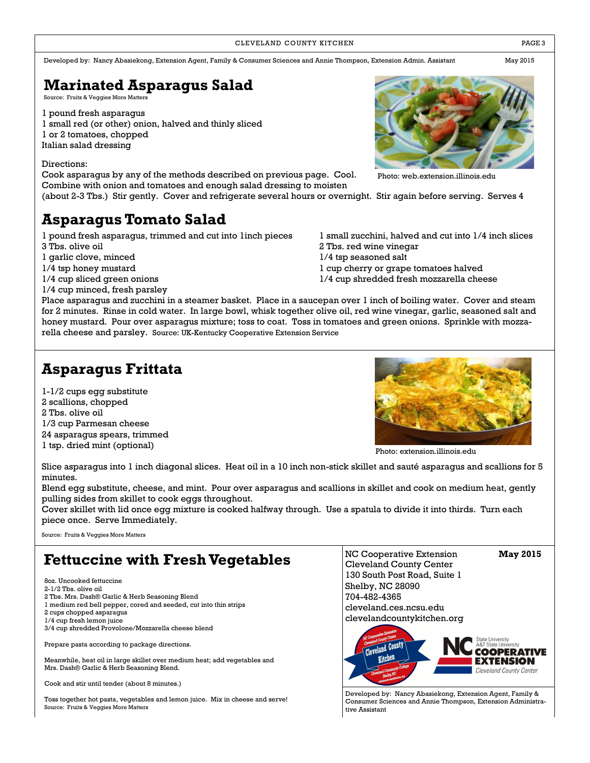#### CLEVELAND COUNTY KITCHEN **EXECUTE A RESISTENT COUNTY KITCHEN**

Developed by: Nancy Abasiekong, Extension Agent, Family & Consumer Sciences and Annie Thompson, Extension Admin. Assistant May 2015

# **Marinated Asparagus Salad**

Source: Fruits & Veggies More Matters

1 pound fresh asparagus 1 small red (or other) onion, halved and thinly sliced 1 or 2 tomatoes, chopped Italian salad dressing

#### Directions:

Cook asparagus by any of the methods described on previous page. Cool. Combine with onion and tomatoes and enough salad dressing to moisten

(about 2-3 Tbs.) Stir gently. Cover and refrigerate several hours or overnight. Stir again before serving. Serves 4

# **Asparagus Tomato Salad**

1 pound fresh asparagus, trimmed and cut into 1inch pieces 1 small zucchini, halved and cut into 1/4 inch slices

- 
- 1 garlic clove, minced 1/4 tsp seasoned salt
- 
- 
- 1/4 cup minced, fresh parsley

3 Tbs. olive oil 2 Tbs. red wine vinegar

- 
- 1/4 tsp honey mustard 1 cup cherry or grape tomatoes halved
- 1/4 cup sliced green onions 1/4 cup shredded fresh mozzarella cheese

Place asparagus and zucchini in a steamer basket. Place in a saucepan over 1 inch of boiling water. Cover and steam for 2 minutes. Rinse in cold water. In large bowl, whisk together olive oil, red wine vinegar, garlic, seasoned salt and honey mustard. Pour over asparagus mixture; toss to coat. Toss in tomatoes and green onions. Sprinkle with mozzarella cheese and parsley. Source: UK-Kentucky Cooperative Extension Service

# **Asparagus Frittata**

1-1/2 cups egg substitute 2 scallions, chopped 2 Tbs. olive oil 1/3 cup Parmesan cheese 24 asparagus spears, trimmed 1 tsp. dried mint (optional)

Photo: [extension.illinois.edu](https://www.google.com/url?sa=i&rct=j&q=&esrc=s&source=images&cd=&cad=rja&uact=8&ved=0CAYQjB0&url=http%3A%2F%2Fextension.illinois.edu%2Fdiabetesrecipes%2Fsort.cfm%3Ffn%3Dmain&ei=9_J2VdzpLIHnsAX4soK4BA&bvm=bv.95039771,d.cWc&psig=AFQjCNHJFNnPfHwG4glq6PZYDHZlcMF) 

Slice asparagus into 1 inch diagonal slices. Heat oil in a 10 inch non-stick skillet and sauté asparagus and scallions for 5 minutes.

Blend egg substitute, cheese, and mint. Pour over asparagus and scallions in skillet and cook on medium heat, gently pulling sides from skillet to cook eggs throughout.

Cover skillet with lid once egg mixture is cooked halfway through. Use a spatula to divide it into thirds. Turn each piece once. Serve Immediately.

Source: Fruits & Veggies More Matters

# **Fettuccine with Fresh Vegetables**

8oz. Uncooked fettuccine 2-1/2 Tbs. olive oil 2 Tbs. Mrs. Dash® Garlic & Herb Seasoning Blend 1 medium red bell pepper, cored and seeded, cut into thin strips 2 cups chopped asparagus 1/4 cup fresh lemon juice 3/4 cup shredded Provolone/Mozzarella cheese blend

Prepare pasta according to package directions.

Meanwhile, heat oil in large skillet over medium heat; add vegetables and Mrs. Dash® Garlic & Herb Seasoning Blend.

Cook and stir until tender (about 8 minutes.)

Toss together hot pasta, vegetables and lemon juice. Mix in cheese and serve! Source: Fruits & Veggies More Matters

NC Cooperative Extension **May 2015** Cleveland County Center 130 South Post Road, Suite 1 Shelby, NC 28090 704-482-4365 cleveland.ces.ncsu.edu clevelandcountykitchen.org



Developed by: Nancy Abasiekong, Extension Agent, Family & Consumer Sciences and Annie Thompson, Extension Administrative Assistant